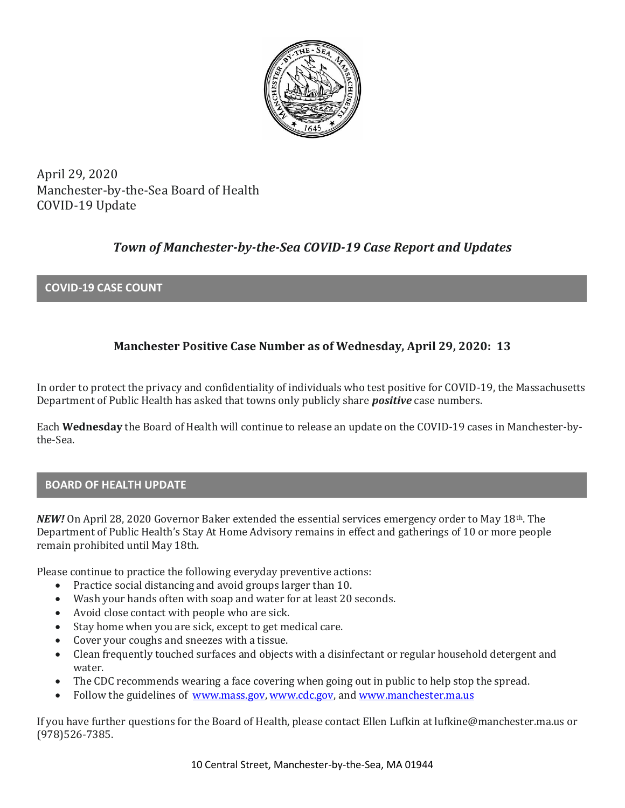

April 29, 2020 Manchester-by-the-Sea Board of Health COVID-19 Update

# *Town of Manchester-by-the-Sea COVID-19 Case Report and Updates*

## **COVID-19 CASE COUNT**

## **Manchester Positive Case Number as of Wednesday, April 29, 2020: 13**

In order to protect the privacy and confidentiality of individuals who test positive for COVID-19, the Massachusetts Department of Public Health has asked that towns only publicly share *positive* case numbers.

Each **Wednesday** the Board of Health will continue to release an update on the COVID-19 cases in Manchester-bythe-Sea.

## **BOARD OF HEALTH UPDATE**

*NEW!* On April 28, 2020 Governor Baker extended the essential services emergency order to May 18th. The Department of Public Health's Stay At Home Advisory remains in effect and gatherings of 10 or more people remain prohibited until May 18th.

Please continue to practice the following everyday preventive actions:

- Practice social distancing and avoid groups larger than 10.
- Wash your hands often with soap and water for at least 20 seconds.
- Avoid close contact with people who are sick.
- Stay home when you are sick, except to get medical care.
- Cover your coughs and sneezes with a tissue.
- Clean frequently touched surfaces and objects with a disinfectant or regular household detergent and water.
- The CDC recommends wearing a face covering when going out in public to help stop the spread.
- Follow the guidelines of [www.mass.gov,](https://www.mass.gov/) [www.cdc.gov,](https://www.cdc.gov/) and [www.manchester.ma.us](http://www.manchester.ma.us/)

If you have further questions for the Board of Health, please contact Ellen Lufkin at lufkine@manchester.ma.us or (978)526-7385.